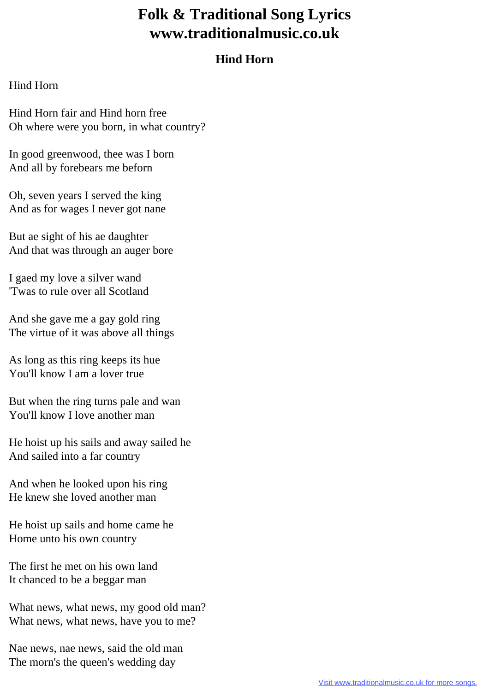## **Folk & Traditional Song Lyrics www.traditionalmusic.co.uk**

## **Hind Horn**

## Hind Horn

Hind Horn fair and Hind horn free Oh where were you born, in what country?

In good greenwood, thee was I born And all by forebears me beforn

Oh, seven years I served the king And as for wages I never got nane

But ae sight of his ae daughter And that was through an auger bore

I gaed my love a silver wand 'Twas to rule over all Scotland

And she gave me a gay gold ring The virtue of it was above all things

As long as this ring keeps its hue You'll know I am a lover true

But when the ring turns pale and wan You'll know I love another man

He hoist up his sails and away sailed he And sailed into a far country

And when he looked upon his ring He knew she loved another man

He hoist up sails and home came he Home unto his own country

The first he met on his own land It chanced to be a beggar man

What news, what news, my good old man? What news, what news, have you to me?

Nae news, nae news, said the old man The morn's the queen's wedding day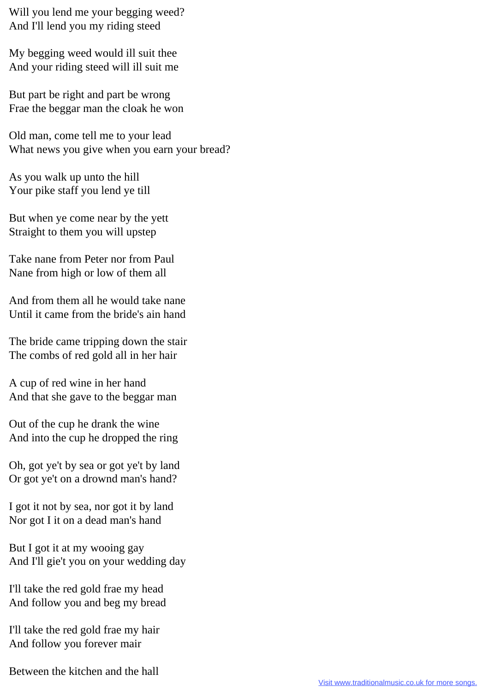Will you lend me your begging weed? And I'll lend you my riding steed

My begging weed would ill suit thee And your riding steed will ill suit me

But part be right and part be wrong Frae the beggar man the cloak he won

Old man, come tell me to your lead What news you give when you earn your bread?

As you walk up unto the hill Your pike staff you lend ye till

But when ye come near by the yett Straight to them you will upstep

Take nane from Peter nor from Paul Nane from high or low of them all

And from them all he would take nane Until it came from the bride's ain hand

The bride came tripping down the stair The combs of red gold all in her hair

A cup of red wine in her hand And that she gave to the beggar man

Out of the cup he drank the wine And into the cup he dropped the ring

Oh, got ye't by sea or got ye't by land Or got ye't on a drownd man's hand?

I got it not by sea, nor got it by land Nor got I it on a dead man's hand

But I got it at my wooing gay And I'll gie't you on your wedding day

I'll take the red gold frae my head And follow you and beg my bread

I'll take the red gold frae my hair And follow you forever mair

Between the kitchen and the hall